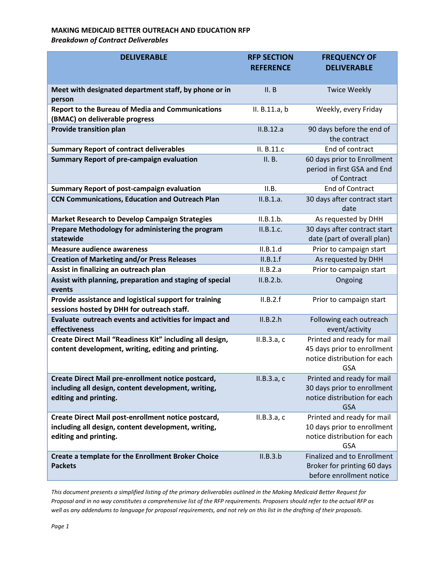## **MAKING MEDICAID BETTER OUTREACH AND EDUCATION RFP** *Breakdown of Contract Deliverables*

| <b>DELIVERABLE</b>                                                                                                                  | <b>RFP SECTION</b><br><b>REFERENCE</b> | <b>FREQUENCY OF</b><br><b>DELIVERABLE</b>                                                               |
|-------------------------------------------------------------------------------------------------------------------------------------|----------------------------------------|---------------------------------------------------------------------------------------------------------|
| Meet with designated department staff, by phone or in<br>person                                                                     | II. B                                  | <b>Twice Weekly</b>                                                                                     |
| <b>Report to the Bureau of Media and Communications</b><br>(BMAC) on deliverable progress                                           | II. B.11.a, b                          | Weekly, every Friday                                                                                    |
| <b>Provide transition plan</b>                                                                                                      | II.B.12.a                              | 90 days before the end of<br>the contract                                                               |
| <b>Summary Report of contract deliverables</b>                                                                                      | II. B.11.c                             | End of contract                                                                                         |
| <b>Summary Report of pre-campaign evaluation</b>                                                                                    | II. B.                                 | 60 days prior to Enrollment<br>period in first GSA and End<br>of Contract                               |
| <b>Summary Report of post-campaign evaluation</b>                                                                                   | II.B.                                  | <b>End of Contract</b>                                                                                  |
| <b>CCN Communications, Education and Outreach Plan</b>                                                                              | II.B.1.a.                              | 30 days after contract start<br>date                                                                    |
| <b>Market Research to Develop Campaign Strategies</b>                                                                               | II.B.1.b.                              | As requested by DHH                                                                                     |
| Prepare Methodology for administering the program<br>statewide                                                                      | II.B.1.c.                              | 30 days after contract start<br>date (part of overall plan)                                             |
| <b>Measure audience awareness</b>                                                                                                   | II.B.1.d                               | Prior to campaign start                                                                                 |
| <b>Creation of Marketing and/or Press Releases</b>                                                                                  | II.B.1.f                               | As requested by DHH                                                                                     |
| Assist in finalizing an outreach plan                                                                                               | II.B.2.a                               | Prior to campaign start                                                                                 |
| Assist with planning, preparation and staging of special<br>events                                                                  | II.B.2.b.                              | Ongoing                                                                                                 |
| Provide assistance and logistical support for training<br>sessions hosted by DHH for outreach staff.                                | II.B.2.f                               | Prior to campaign start                                                                                 |
| Evaluate outreach events and activities for impact and<br>effectiveness                                                             | II.B.2.h                               | Following each outreach<br>event/activity                                                               |
| Create Direct Mail "Readiness Kit" including all design,<br>content development, writing, editing and printing.                     | II.B.3.a, c                            | Printed and ready for mail<br>45 days prior to enrollment<br>notice distribution for each<br><b>GSA</b> |
| Create Direct Mail pre-enrollment notice postcard,<br>including all design, content development, writing,<br>editing and printing.  | II.B.3.a. c                            | Printed and ready for mail<br>30 days prior to enrollment<br>notice distribution for each<br><b>GSA</b> |
| Create Direct Mail post-enrollment notice postcard,<br>including all design, content development, writing,<br>editing and printing. | II.B.3.a, c                            | Printed and ready for mail<br>10 days prior to enrollment<br>notice distribution for each<br><b>GSA</b> |
| <b>Create a template for the Enrollment Broker Choice</b><br><b>Packets</b>                                                         | II.B.3.b                               | <b>Finalized and to Enrollment</b><br>Broker for printing 60 days<br>before enrollment notice           |

*This document presents a simplified listing of the primary deliverables outlined in the Making Medicaid Better Request for Proposal and in no way constitutes a comprehensive list of the RFP requirements. Proposers should refer to the actual RFP as well as any addendums to language for proposal requirements, and not rely on this list in the drafting of their proposals.*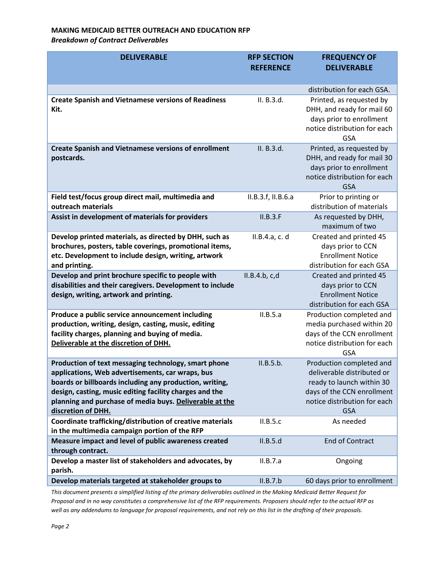## **MAKING MEDICAID BETTER OUTREACH AND EDUCATION RFP** *Breakdown of Contract Deliverables*

| <b>DELIVERABLE</b>                                                                                                                                                                                                                                                                                              | <b>RFP SECTION</b><br><b>REFERENCE</b> | <b>FREQUENCY OF</b><br><b>DELIVERABLE</b>                                                                                                                       |
|-----------------------------------------------------------------------------------------------------------------------------------------------------------------------------------------------------------------------------------------------------------------------------------------------------------------|----------------------------------------|-----------------------------------------------------------------------------------------------------------------------------------------------------------------|
|                                                                                                                                                                                                                                                                                                                 |                                        | distribution for each GSA.                                                                                                                                      |
| <b>Create Spanish and Vietnamese versions of Readiness</b><br>Kit.                                                                                                                                                                                                                                              | II. B.3.d.                             | Printed, as requested by<br>DHH, and ready for mail 60<br>days prior to enrollment<br>notice distribution for each<br><b>GSA</b>                                |
| <b>Create Spanish and Vietnamese versions of enrollment</b><br>postcards.                                                                                                                                                                                                                                       | II. B.3.d.                             | Printed, as requested by<br>DHH, and ready for mail 30<br>days prior to enrollment<br>notice distribution for each<br><b>GSA</b>                                |
| Field test/focus group direct mail, multimedia and<br>outreach materials                                                                                                                                                                                                                                        | II.B.3.f, II.B.6.a                     | Prior to printing or<br>distribution of materials                                                                                                               |
| Assist in development of materials for providers                                                                                                                                                                                                                                                                | II.B.3.F                               | As requested by DHH,<br>maximum of two                                                                                                                          |
| Develop printed materials, as directed by DHH, such as<br>brochures, posters, table coverings, promotional items,<br>etc. Development to include design, writing, artwork<br>and printing.                                                                                                                      | II.B.4.a, c. d                         | Created and printed 45<br>days prior to CCN<br><b>Enrollment Notice</b><br>distribution for each GSA                                                            |
| Develop and print brochure specific to people with<br>disabilities and their caregivers. Development to include<br>design, writing, artwork and printing.                                                                                                                                                       | II.B.4.b. c.d                          | Created and printed 45<br>days prior to CCN<br><b>Enrollment Notice</b><br>distribution for each GSA                                                            |
| Produce a public service announcement including<br>production, writing, design, casting, music, editing<br>facility charges, planning and buying of media.<br>Deliverable at the discretion of DHH.                                                                                                             | II.B.5.a                               | Production completed and<br>media purchased within 20<br>days of the CCN enrollment<br>notice distribution for each<br><b>GSA</b>                               |
| Production of text messaging technology, smart phone<br>applications, Web advertisements, car wraps, bus<br>boards or billboards including any production, writing,<br>design, casting, music editing facility charges and the<br>planning and purchase of media buys. Deliverable at the<br>discretion of DHH. | II.B.5.b.                              | Production completed and<br>deliverable distributed or<br>ready to launch within 30<br>days of the CCN enrollment<br>notice distribution for each<br><b>GSA</b> |
| Coordinate trafficking/distribution of creative materials<br>in the multimedia campaign portion of the RFP                                                                                                                                                                                                      | II.B.5.c                               | As needed                                                                                                                                                       |
| Measure impact and level of public awareness created<br>through contract.                                                                                                                                                                                                                                       | II.B.5.d                               | <b>End of Contract</b>                                                                                                                                          |
| Develop a master list of stakeholders and advocates, by<br>parish.                                                                                                                                                                                                                                              | II.B.7.a                               | Ongoing                                                                                                                                                         |
| Develop materials targeted at stakeholder groups to                                                                                                                                                                                                                                                             | II.B.7.b                               | 60 days prior to enrollment                                                                                                                                     |

*This document presents a simplified listing of the primary deliverables outlined in the Making Medicaid Better Request for Proposal and in no way constitutes a comprehensive list of the RFP requirements. Proposers should refer to the actual RFP as well as any addendums to language for proposal requirements, and not rely on this list in the drafting of their proposals.*